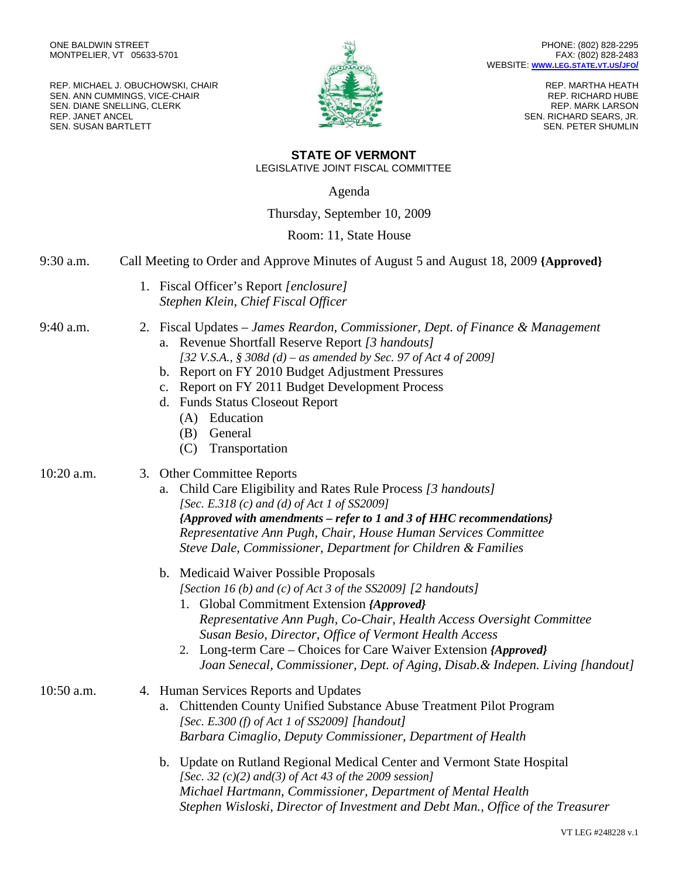REP. MICHAEL J. OBUCHOWSKI, CHAIR SEN. ANN CUMMINGS, VICE-CHAIR SEN. DIANE SNELLING, CLERK REP. JANET ANCEL SEN. SUSAN BARTLETT



REP. MARTHA HEATH REP. RICHARD HUBE REP. MARK LARSON SEN. RICHARD SEARS, JR. SEN. PETER SHUMLIN

## **STATE OF VERMONT** LEGISLATIVE JOINT FISCAL COMMITTEE

Agenda

Thursday, September 10, 2009

Room: 11, State House

9:30 a.m. Call Meeting to Order and Approve Minutes of August 5 and August 18, 2009 **{Approved}**

1. Fiscal Officer's Report *[enclosure] Stephen Klein, Chief Fiscal Officer*

9:40 a.m. 2. Fiscal Updates *– James Reardon, Commissioner, Dept. of Finance & Management* a. Revenue Shortfall Reserve Report *[3 handouts] [32 V.S.A., § 308d (d) – as amended by Sec. 97 of Act 4 of 2009]*

- b. Report on FY 2010 Budget Adjustment Pressures
- c. Report on FY 2011 Budget Development Process
- d. Funds Status Closeout Report
	- (A) Education
	- (B) General
	- (C) Transportation
- 
- 10:20 a.m. 3. Other Committee Reports
	- a. Child Care Eligibility and Rates Rule Process *[3 handouts] [Sec. E.318 (c) and (d) of Act 1 of SS2009] {Approved with amendments – refer to 1 and 3 of HHC recommendations} Representative Ann Pugh, Chair, House Human Services Committee Steve Dale, Commissioner, Department for Children & Families*
	- b. Medicaid Waiver Possible Proposals *[Section 16 (b) and (c) of Act 3 of the SS2009] [2 handouts]*
		- 1. Global Commitment Extension *{Approved} Representative Ann Pugh, Co-Chair, Health Access Oversight Committee Susan Besio, Director, Office of Vermont Health Access*
		- 2. Long-term Care Choices for Care Waiver Extension *{Approved} Joan Senecal, Commissioner, Dept. of Aging, Disab.& Indepen. Living [handout]*

10:50 a.m. 4. Human Services Reports and Updates a. Chittenden County Unified Substance Abuse Treatment Pilot Program *[Sec. E.300 (f) of Act 1 of SS2009] [handout] Barbara Cimaglio, Deputy Commissioner, Department of Health*

> b. Update on Rutland Regional Medical Center and Vermont State Hospital *[Sec. 32 (c)(2) and(3) of Act 43 of the 2009 session] Michael Hartmann, Commissioner, Department of Mental Health Stephen Wisloski, Director of Investment and Debt Man., Office of the Treasurer*

> > VT LEG #248228 v.1